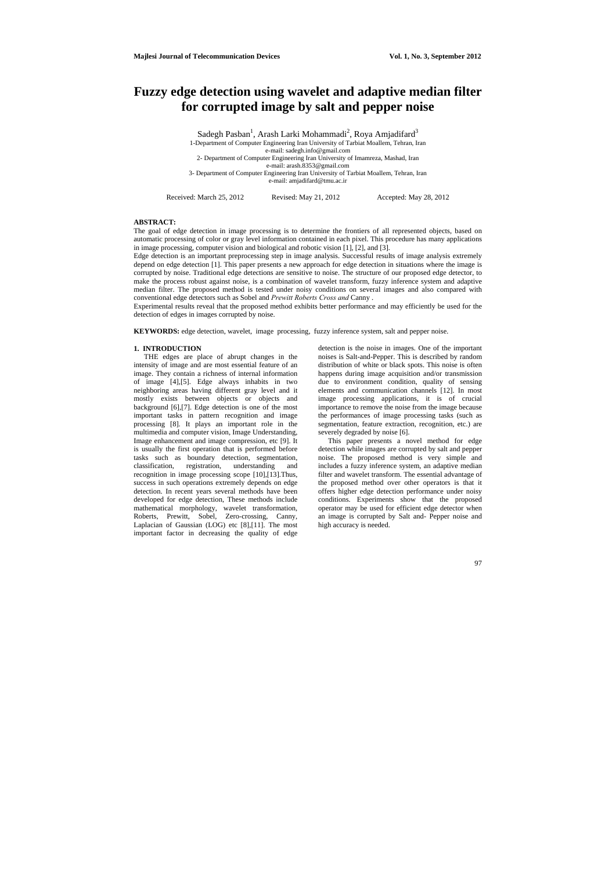# **Fuzzy edge detection using wavelet and adaptive median filter for corrupted image by salt and pepper noise**

Sadegh Pasban<sup>1</sup>, Arash Larki Mohammadi<sup>2</sup>, Roya Amjadifard<sup>3</sup> 1-Department of Computer Engineering Iran University of Tarbiat Moallem, Tehran, Iran e-mail: [sadegh.info@gmail.com](mailto:Sadegh.info@gmail.com)  2- Department of Computer Engineering Iran University of Imamreza, Mashad, Iran e-mail: [arash.8353@gmail.com](mailto:arash.8353@gmail.com)  3- Department of Computer Engineering Iran University of Tarbiat Moallem, Tehran, Iran e-mail: [amjadifard@tmu.ac.ir](mailto:amjadifard@tmu.ac.ir) 

Received: March 25, 2012 Revised: May 21, 2012 Accepted: May 28, 2012

# **ABSTRACT:**

The goal of edge detection in image processing is to determine the frontiers of all represented objects, based on automatic processing of color or gray level information contained in each pixel. This procedure has many applications in image processing, computer vision and biological and robotic vision [1], [2], and [3].

Edge detection is an important preprocessing step in image analysis. Successful results of image analysis extremely depend on edge detection [1]. This paper presents a new approach for edge detection in situations where the image is corrupted by noise. Traditional edge detections are sensitive to noise. The structure of our proposed edge detector, to make the process robust against noise, is a combination of wavelet transform, fuzzy inference system and adaptive median filter. The proposed method is tested under noisy conditions on several images and also compared with conventional edge detectors such as Sobel and *Prewitt Roberts Cross and* Canny .

Experimental results reveal that the proposed method exhibits better performance and may efficiently be used for the detection of edges in images corrupted by noise.

**KEYWORDS:** edge detection, wavelet, image processing, fuzzy inference system, salt and pepper noise.

# **1. INTRODUCTION**

THE edges are place of abrupt changes in the intensity of image and are most essential feature of an image. They contain a richness of internal information of image [4],[5]. Edge always inhabits in two neighboring areas having different gray level and it mostly exists between objects or objects and background [6],[7]. Edge detection is one of the most important tasks in pattern recognition and image processing [8]. It plays an important role in the multimedia and computer vision, Image Understanding, Image enhancement and image compression, etc [9]. It is usually the first operation that is performed before tasks such as boundary detection, segmentation, classification, registration, understanding and recognition in image processing scope [10],[13].Thus, success in such operations extremely depends on edge detection. In recent years several methods have been developed for edge detection, These methods include mathematical morphology, wavelet transformation, Roberts, Prewitt, Sobel, Zero-crossing, Canny, Laplacian of Gaussian (LOG) etc [8],[11]. The most important factor in decreasing the quality of edge

detection is the noise in images. One of the important noises is Salt-and-Pepper. This is described by random distribution of white or black spots. This noise is often happens during image acquisition and/or transmission due to environment condition, quality of sensing elements and communication channels [12]. In most image processing applications, it is of crucial importance to remove the noise from the image because the performances of image processing tasks (such as segmentation, feature extraction, recognition, etc.) are severely degraded by noise [6].

This paper presents a novel method for edge detection while images are corrupted by salt and pepper noise. The proposed method is very simple and includes a fuzzy inference system, an adaptive median filter and wavelet transform. The essential advantage of the proposed method over other operators is that it offers higher edge detection performance under noisy conditions. Experiments show that the proposed operator may be used for efficient edge detector when an image is corrupted by Salt and- Pepper noise and high accuracy is needed.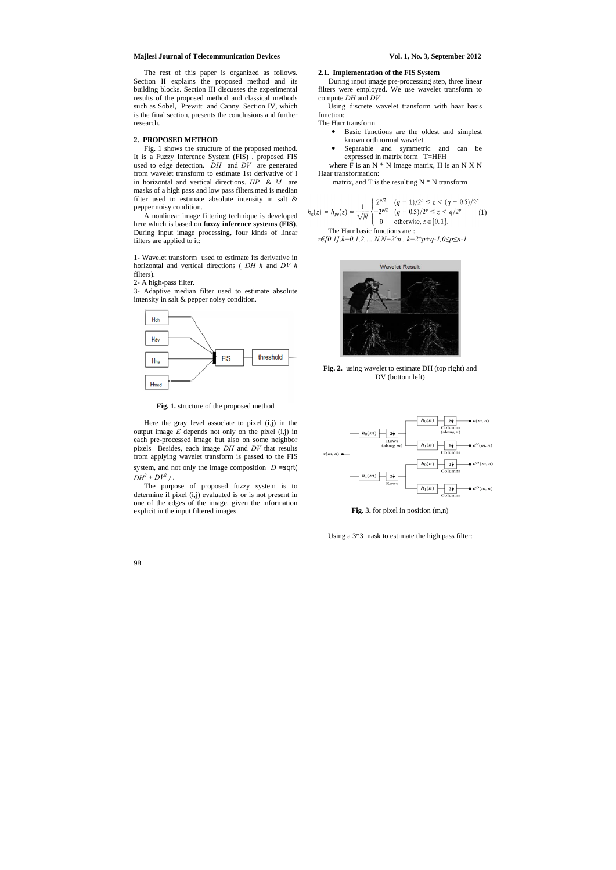The rest of this paper is organized as follows. Section II explains the proposed method and its building blocks. Section III discusses the experimental results of the proposed method and classical methods such as Sobel, Prewitt and Canny. Section IV, which is the final section, presents the conclusions and further research.

# **2. PROPOSED METHOD**

Fig. 1 shows the structure of the proposed method. It is a Fuzzy Inference System (FIS) . proposed FIS used to edge detection. *DH* and *DV* are generated from wavelet transform to estimate 1st derivative of I in horizontal and vertical directions. *HP* & *M* are masks of a high pass and low pass filters.med is median filter used to estimate absolute intensity in salt & pepper noisy condition.

Here the gray level associate to pixel (i,j) in the output image  $E$  depends not only on the pixel  $(i,j)$  in each pre-processed image but also on some neighbor pixels Besides, each image *DH* and *DV* that results from applying wavelet transform is passed to the FIS system, and not only the image composition *D* =sqrt(  $DH^2 + DV^2$ ).

A nonlinear image filtering technique is developed here which is based on **fuzzy inference systems (FIS)**. During input image processing, four kinds of linear filters are applied to it:

1- Wavelet transform used to estimate its derivative in horizontal and vertical directions ( *DH h* and *DV h*  filters).

where  $\overline{F}$  is an N  $*$  N image matrix, H is an N X N Haar transformation:

matrix, and T is the resulting  $N * N$  transform

2- A high-pass filter.

3- Adaptive median filter used to estimate absolute intensity in salt & pepper noisy condition.



**Fig. 1.** structure of the proposed method

The purpose of proposed fuzzy system is to determine if pixel (i,j) evaluated is or is not present in one of the edges of the image, given the information explicit in the input filtered images.

# **2.1. Implementation of the FIS System**

During input image pre-processing step, three linear filters were employed. We use wavelet transform to compute *DH* and *DV.* 

Using discrete wavelet transform with haar basis function:

The Harr transform

- Basic functions are the oldest and simplest known orthnormal wavelet
- Separable and symmetric and can be expressed in matrix form T=HFH

The Harr basic functions are :

$$
h_k(z) = h_{pq}(z) = \frac{1}{\sqrt{N}} \begin{cases} 2^{p/2} & (q-1)/2^p \le z < (q-0.5)/2^p \\ -2^{p/2} & (q-0.5)/2^p \le z < q/2^p \\ 0 & \text{otherwise, } z \in [0, 1]. \end{cases} \tag{1}
$$

*z€[0 1],k=0,1,2,…,N,N=2^n , k=2^p+q-1,0≤p≤n-1* 







**Fig. 3.** for pixel in position (m,n)

Using a 3\*3 mask to estimate the high pass filter: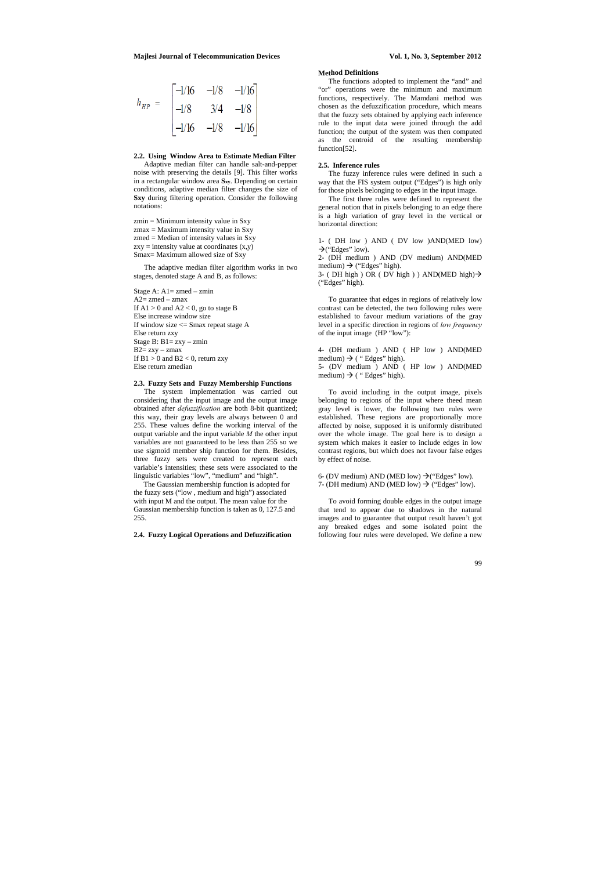$$
h_{HP} = \begin{bmatrix} -1/16 & -1/8 & -1/16 \\ -1/8 & 3/4 & -1/8 \\ -1/16 & -1/8 & -1/16 \end{bmatrix}
$$

# **2.2. Using Window Area to Estimate Median Filter**

Adaptive median filter can handle salt-and-pepper noise with preserving the details [9]. This filter works in a rectangular window area **Sxy**. Depending on certain conditions, adaptive median filter changes the size of **Sxy** during filtering operation. Consider the following notations:

 $zmin = Minimum$  intensity value in Sxy  $z$ max = Maximum intensity value in Sxy  $z$ med = Median of intensity values in Sxy  $zxy =$  intensity value at coordinates  $(x,y)$ Smax= Maximum allowed size of Sxy

The adaptive median filter algorithm works in two stages, denoted stage A and B, as follows:

Stage A: A1= zmed – zmin  $A2$ = zmed – zmax If  $A1 > 0$  and  $A2 < 0$ , go to stage B Else increase window size If window size  $\leq$  Smax repeat stage A Else return zxy Stage B:  $B1 = zxy - zmin$  $B2 = zxy - zmax$ If  $B1 > 0$  and  $B2 < 0$ , return zxy Else return zmedian

The functions adopted to implement the "and" and "or" operations were the minimum and maximum functions, respectively. The Mamdani method was chosen as the defuzzification procedure, which means that the fuzzy sets obtained by applying each inference rule to the input data were joined through the add function; the output of the system was then computed as the centroid of the resulting membership function[52].

## **2.3. Fuzzy Sets and Fuzzy Membership Functions**

The system implementation was carried out considering that the input image and the output image obtained after *defuzzification* are both 8-bit quantized; this way, their gray levels are always between 0 and 255. These values define the working interval of the output variable and the input variable *M* the other input variables are not guaranteed to be less than 255 so we use sigmoid member ship function for them. Besides, three fuzzy sets were created to represent each variable's intensities; these sets were associated to the linguistic variables "low", "medium" and "high".

1- ( DH low ) AND ( DV low )AND(MED low)  $\rightarrow$  ("Edges" low).

2- (DH medium ) AND (DV medium) AND(MED medium)  $\rightarrow$  ("Edges" high).

3- (DH high ) OR (DV high ) ) AND(MED high)  $\rightarrow$ ("Edges" high).

4- (DH medium ) AND ( HP low ) AND(MED medium)  $\rightarrow$  ( " Edges" high). 5- (DV medium ) AND ( HP low ) AND(MED medium)  $\rightarrow$  ("Edges" high).

The Gaussian membership function is adopted for the fuzzy sets ("low , medium and high") associated with input M and the output. The mean value for the Gaussian membership function is taken as 0, 127.5 and 255.

### **2.4. Fuzzy Logical Operations and Defuzzification**

#### **Method Definitions**

# **2.5. Inference rules**

The fuzzy inference rules were defined in such a way that the FIS system output ("Edges") is high only for those pixels belonging to edges in the input image.

The first three rules were defined to represent the general notion that in pixels belonging to an edge there is a high variation of gray level in the vertical or horizontal direction:

To guarantee that edges in regions of relatively low contrast can be detected, the two following rules were established to favour medium variations of the gray level in a specific direction in regions of *low frequency*  of the input image (HP "low"):

To avoid including in the output image, pixels belonging to regions of the input where theed mean gray level is lower, the following two rules were established. These regions are proportionally more affected by noise, supposed it is uniformly distributed over the whole image. The goal here is to design a system which makes it easier to include edges in low contrast regions, but which does not favour false edges by effect of noise.

6- (DV medium) AND (MED low)  $\rightarrow$  ("Edges" low). 7- (DH medium) AND (MED low)  $\rightarrow$  ("Edges" low).

To avoid forming double edges in the output image that tend to appear due to shadows in the natural images and to guarantee that output result haven't got any breaked edges and some isolated point the following four rules were developed. We define a new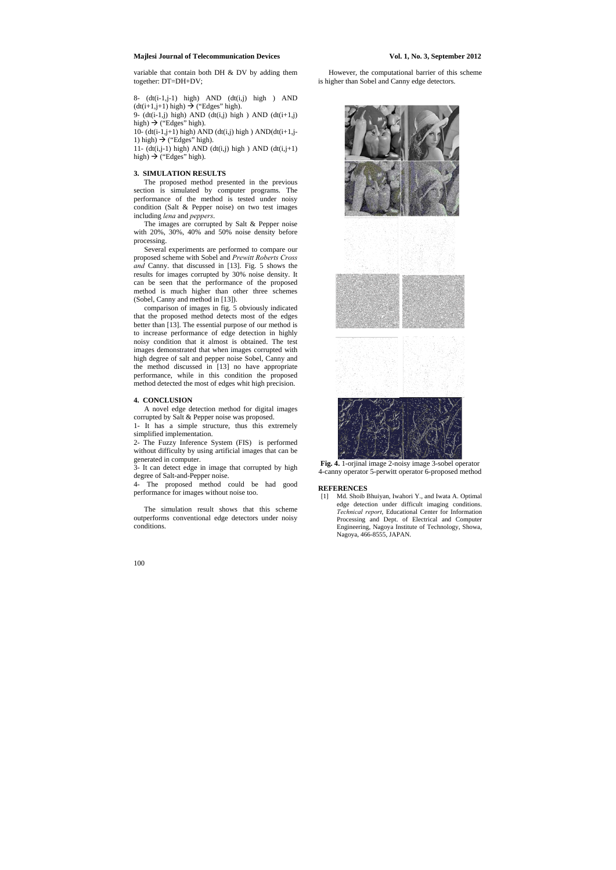8- (dt(i-1,j-1) high) AND (dt(i,j) high ) AND  $(dt(i+1,j+1)$  high)  $\rightarrow$  ("Edges" high).

9-  $(dt(i-1,j)$  high) AND  $(dt(i,j)$  high) AND  $(dt(i+1,j)$ high)  $\rightarrow$  ("Edges" high).

10- (dt(i-1,j+1) high) AND (dt(i,j) high) AND(dt(i+1,j-1) high)  $\rightarrow$  ("Edges" high).

11-  $(dt(i,j-1)$  high) AND  $(dt(i,j)$  high) AND  $(dt(i,j+1)$ high)  $\rightarrow$  ("Edges" high).

variable that contain both DH & DV by adding them together: DT=DH+DV;

# **3. SIMULATION RESULTS**

The proposed method presented in the previous section is simulated by computer programs. The performance of the method is tested under noisy condition (Salt & Pepper noise) on two test images including *lena* and *peppers*.

The images are corrupted by Salt & Pepper noise with 20%, 30%, 40% and 50% noise density before processing.

Several experiments are performed to compare our proposed scheme with Sobel and *Prewitt Roberts Cross and* Canny. that discussed in [13]. Fig. 5 shows the results for images corrupted by 30% noise density. It can be seen that the performance of the proposed method is much higher than other three schemes (Sobel, Canny and method in [13]).

comparison of images in fig. 5 obviously indicated that the proposed method detects most of the edges better than [13]. The essential purpose of our method is to increase performance of edge detection in highly noisy condition that it almost is obtained. The test images demonstrated that when images corrupted with high degree of salt and pepper noise Sobel, Canny and the method discussed in [13] no have appropriate performance, while in this condition the proposed method detected the most of edges whit high precision.

### **4. CONCLUSION**

A novel edge detection method for digital images corrupted by Salt & Pepper noise was proposed.

1- It has a simple structure, thus this extremely simplified implementation.

2- The Fuzzy Inference System (FIS) is performed without difficulty by using artificial images that can be generated in computer.

3- It can detect edge in image that corrupted by high degree of Salt-and-Pepper noise.

4- The proposed method could be had good performance for images without noise too.

The simulation result shows that this scheme outperforms conventional edge detectors under noisy conditions.

However, the computational barrier of this scheme is higher than Sobel and Canny edge detectors.



**Fig. 4.** 1-orjinal image 2-noisy image 3-sobel operator 4-canny operator 5-perwitt operator 6-proposed method

### **REFERENCES**

[1] Md. Shoib Bhuiyan, Iwahori Y., and Iwata A. Optimal edge detection under difficult imaging conditions. *Technical report*, Educational Center for Information Processing and Dept. of Electrical and Computer Engineering, Nagoya Institute of Technology, Showa, Nagoya, 466-8555, JAPAN.